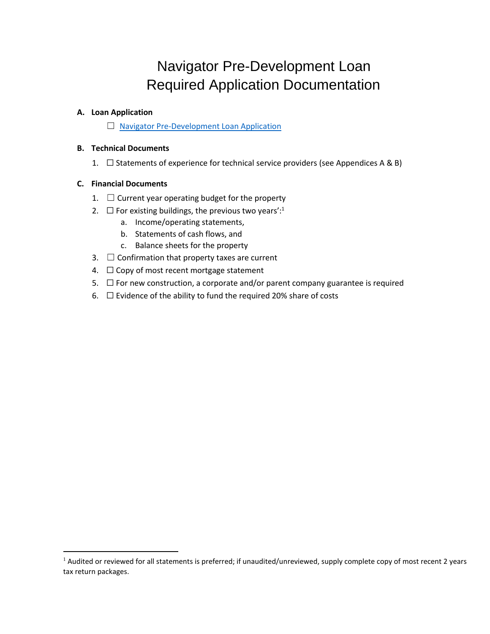# Navigator Pre-Development Loan Required Application Documentation

#### **A. Loan Application**

☐ [Navigator Pre-Development Loan Application](https://www.tfaforms.com/4733470)

#### **B. Technical Documents**

1.  $\Box$  Statements of experience for technical service providers (see Appendices A & B)

#### **C. Financial Documents**

- 1.  $\Box$  Current year operating budget for the property
- 2.  $\Box$  For existing buildings, the previous two years':<sup>1</sup>
	- a. Income/operating statements,
	- b. Statements of cash flows, and
	- c. Balance sheets for the property
- 3.  $\Box$  Confirmation that property taxes are current
- 4.  $\Box$  Copy of most recent mortgage statement
- 5.  $\Box$  For new construction, a corporate and/or parent company guarantee is required
- 6.  $\Box$  Evidence of the ability to fund the required 20% share of costs

 $1$  Audited or reviewed for all statements is preferred; if unaudited/unreviewed, supply complete copy of most recent 2 years tax return packages.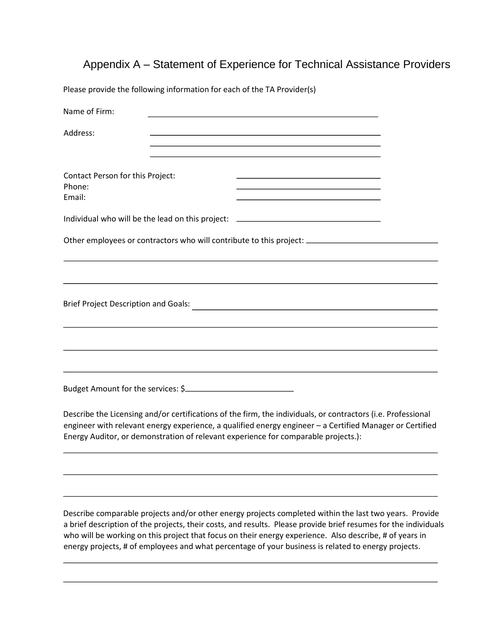## Appendix A – Statement of Experience for Technical Assistance Providers

Please provide the following information for each of the TA Provider(s)

| Name of Firm:                                                                                                                                                                                                                                                                                                  |  |
|----------------------------------------------------------------------------------------------------------------------------------------------------------------------------------------------------------------------------------------------------------------------------------------------------------------|--|
| Address:                                                                                                                                                                                                                                                                                                       |  |
| Contact Person for this Project:<br>Phone:<br>Email:                                                                                                                                                                                                                                                           |  |
| Individual who will be the lead on this project: _______________________________                                                                                                                                                                                                                               |  |
| Other employees or contractors who will contribute to this project: ___________________                                                                                                                                                                                                                        |  |
|                                                                                                                                                                                                                                                                                                                |  |
| <b>Brief Project Description and Goals:</b>                                                                                                                                                                                                                                                                    |  |
|                                                                                                                                                                                                                                                                                                                |  |
| Budget Amount for the services: \$                                                                                                                                                                                                                                                                             |  |
| Describe the Licensing and/or certifications of the firm, the individuals, or contractors (i.e. Professional<br>engineer with relevant energy experience, a qualified energy engineer - a Certified Manager or Certified<br>Energy Auditor, or demonstration of relevant experience for comparable projects.): |  |
|                                                                                                                                                                                                                                                                                                                |  |

Describe comparable projects and/or other energy projects completed within the last two years. Provide a brief description of the projects, their costs, and results. Please provide brief resumes for the individuals who will be working on this project that focus on their energy experience. Also describe, # of years in energy projects, # of employees and what percentage of your business is related to energy projects.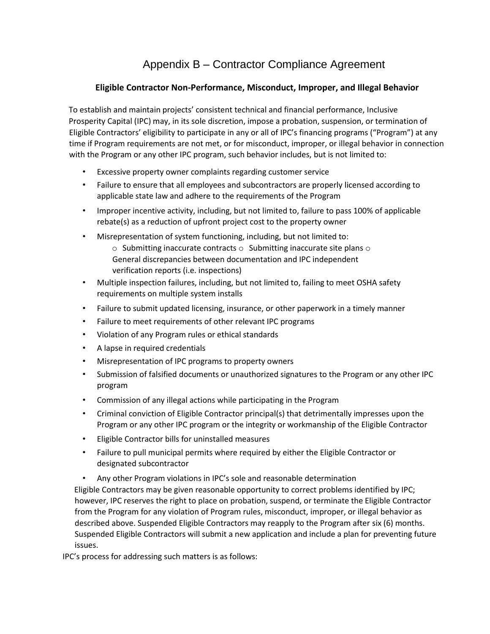## Appendix B – Contractor Compliance Agreement

### **Eligible Contractor Non-Performance, Misconduct, Improper, and Illegal Behavior**

To establish and maintain projects' consistent technical and financial performance, Inclusive Prosperity Capital (IPC) may, in its sole discretion, impose a probation, suspension, or termination of Eligible Contractors' eligibility to participate in any or all of IPC's financing programs ("Program") at any time if Program requirements are not met, or for misconduct, improper, or illegal behavior in connection with the Program or any other IPC program, such behavior includes, but is not limited to:

- Excessive property owner complaints regarding customer service
- Failure to ensure that all employees and subcontractors are properly licensed according to applicable state law and adhere to the requirements of the Program
- Improper incentive activity, including, but not limited to, failure to pass 100% of applicable rebate(s) as a reduction of upfront project cost to the property owner
- Misrepresentation of system functioning, including, but not limited to:
	- $\circ$  Submitting inaccurate contracts  $\circ$  Submitting inaccurate site plans  $\circ$ General discrepancies between documentation and IPC independent verification reports (i.e. inspections)
- Multiple inspection failures, including, but not limited to, failing to meet OSHA safety requirements on multiple system installs
- Failure to submit updated licensing, insurance, or other paperwork in a timely manner
- Failure to meet requirements of other relevant IPC programs
- Violation of any Program rules or ethical standards
- A lapse in required credentials
- Misrepresentation of IPC programs to property owners
- Submission of falsified documents or unauthorized signatures to the Program or any other IPC program
- Commission of any illegal actions while participating in the Program
- Criminal conviction of Eligible Contractor principal(s) that detrimentally impresses upon the Program or any other IPC program or the integrity or workmanship of the Eligible Contractor
- Eligible Contractor bills for uninstalled measures
- Failure to pull municipal permits where required by either the Eligible Contractor or designated subcontractor
- Any other Program violations in IPC's sole and reasonable determination

Eligible Contractors may be given reasonable opportunity to correct problems identified by IPC; however, IPC reserves the right to place on probation, suspend, or terminate the Eligible Contractor from the Program for any violation of Program rules, misconduct, improper, or illegal behavior as described above. Suspended Eligible Contractors may reapply to the Program after six (6) months. Suspended Eligible Contractors will submit a new application and include a plan for preventing future issues.

IPC's process for addressing such matters is as follows: